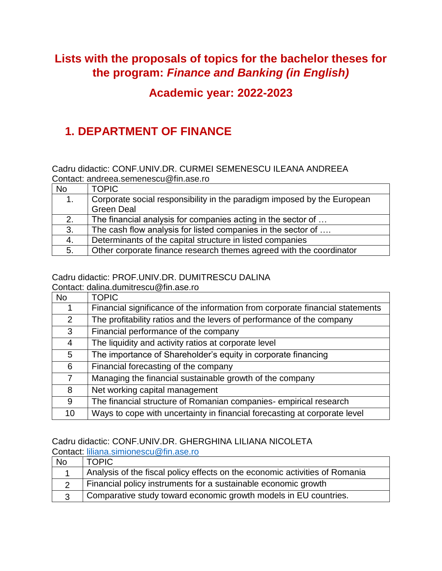## **Lists with the proposals of topics for the bachelor theses for the program:** *Finance and Banking (in English)*

## **Academic year: 2022-2023**

# **1. DEPARTMENT OF FINANCE**

Cadru didactic: CONF.UNIV.DR. CURMEI SEMENESCU ILEANA ANDREEA Contact: [andreea.semenescu@fin.ase.ro](mailto:andreea.semenescu@fin.ase.ro)

| <b>No</b> | <b>TOPIC</b>                                                            |
|-----------|-------------------------------------------------------------------------|
| 1.        | Corporate social responsibility in the paradigm imposed by the European |
|           | <b>Green Deal</b>                                                       |
| 2.        | The financial analysis for companies acting in the sector of            |
| 3.        | The cash flow analysis for listed companies in the sector of            |
| 4.        | Determinants of the capital structure in listed companies               |
| 5.        | Other corporate finance research themes agreed with the coordinator     |

#### Cadru didactic: PROF.UNIV.DR. DUMITRESCU DALINA

Contact: dalina.dumitrescu@fin.ase.ro

| <b>No</b>      | <b>TOPIC</b>                                                                  |
|----------------|-------------------------------------------------------------------------------|
|                | Financial significance of the information from corporate financial statements |
| $\overline{2}$ | The profitability ratios and the levers of performance of the company         |
| 3              | Financial performance of the company                                          |
| 4              | The liquidity and activity ratios at corporate level                          |
| 5              | The importance of Shareholder's equity in corporate financing                 |
| 6              | Financial forecasting of the company                                          |
| 7              | Managing the financial sustainable growth of the company                      |
| 8              | Net working capital management                                                |
| 9              | The financial structure of Romanian companies-empirical research              |
| 10             | Ways to cope with uncertainty in financial forecasting at corporate level     |

### Cadru didactic: CONF.UNIV.DR. GHERGHINA LILIANA NICOLETA

Contact: [liliana.simionescu@fin.ase.ro](mailto:liliana.simionescu@fin.ase.ro)

| <b>No</b> | <b>TOPIC</b>                                                                |
|-----------|-----------------------------------------------------------------------------|
|           | Analysis of the fiscal policy effects on the economic activities of Romania |
|           | Financial policy instruments for a sustainable economic growth              |
|           | Comparative study toward economic growth models in EU countries.            |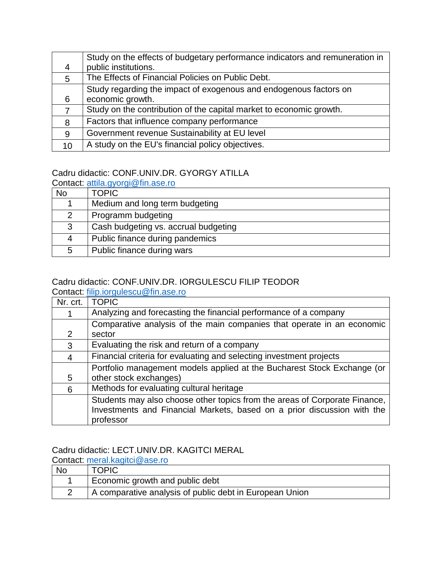|                | Study on the effects of budgetary performance indicators and remuneration in |
|----------------|------------------------------------------------------------------------------|
| 4              | public institutions.                                                         |
| 5              | The Effects of Financial Policies on Public Debt.                            |
|                | Study regarding the impact of exogenous and endogenous factors on            |
| 6              | economic growth.                                                             |
| $\overline{7}$ | Study on the contribution of the capital market to economic growth.          |
| 8              | Factors that influence company performance                                   |
| 9              | Government revenue Sustainability at EU level                                |
| 10             | A study on the EU's financial policy objectives.                             |

### Cadru didactic: CONF.UNIV.DR. GYORGY ATILLA

Contact: [attila.gyorgi@fin.ase.ro](mailto:attila.gyorgi@fin.ase.ro)

| No            | <b>TOPIC</b>                         |
|---------------|--------------------------------------|
|               | Medium and long term budgeting       |
| $\mathcal{P}$ | Programm budgeting                   |
| 3             | Cash budgeting vs. accrual budgeting |
| 4             | Public finance during pandemics      |
| 5             | Public finance during wars           |

# Cadru didactic: CONF.UNIV.DR. IORGULESCU FILIP TEODOR

Contact: [filip.iorgulescu@fin.ase.ro](mailto:filip.iorgulescu@fin.ase.ro)

| Nr. crt. | <b>TOPIC</b>                                                               |
|----------|----------------------------------------------------------------------------|
|          | Analyzing and forecasting the financial performance of a company           |
|          | Comparative analysis of the main companies that operate in an economic     |
| 2        | sector                                                                     |
| 3        | Evaluating the risk and return of a company                                |
| 4        | Financial criteria for evaluating and selecting investment projects        |
|          | Portfolio management models applied at the Bucharest Stock Exchange (or    |
| 5.       | other stock exchanges)                                                     |
| 6        | Methods for evaluating cultural heritage                                   |
|          | Students may also choose other topics from the areas of Corporate Finance, |
|          | Investments and Financial Markets, based on a prior discussion with the    |
|          | professor                                                                  |

## Cadru didactic: LECT.UNIV.DR. KAGITCI MERAL

Contact: [meral.kagitci@ase.ro](mailto:meral.kagitci@ase.ro)

| No. | <b>TOPIC</b>                                            |
|-----|---------------------------------------------------------|
|     | Economic growth and public debt                         |
|     | A comparative analysis of public debt in European Union |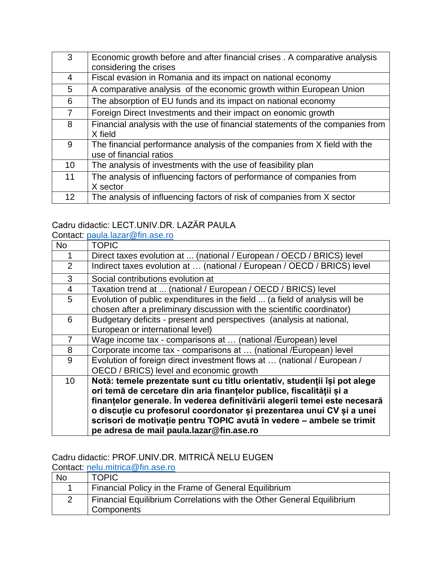| 3                 | Economic growth before and after financial crises . A comparative analysis<br>considering the crises |
|-------------------|------------------------------------------------------------------------------------------------------|
| 4                 | Fiscal evasion in Romania and its impact on national economy                                         |
| 5                 | A comparative analysis of the economic growth within European Union                                  |
| 6                 | The absorption of EU funds and its impact on national economy                                        |
| $\overline{7}$    | Foreign Direct Investments and their impact on eonomic growth                                        |
| 8                 | Financial analysis with the use of financial statements of the companies from<br>X field             |
| 9                 | The financial performance analysis of the companies from X field with the<br>use of financial ratios |
| 10                | The analysis of investments with the use of feasibility plan                                         |
| 11                | The analysis of influencing factors of performance of companies from<br>X sector                     |
| $12 \overline{ }$ | The analysis of influencing factors of risk of companies from X sector                               |

## Cadru didactic: LECT.UNIV.DR. LAZĂR PAULA

Contact: [paula.lazar@fin.ase.ro](mailto:paula.lazar@fin.ase.ro)

| <b>No</b>      | <b>TOPIC</b>                                                                                                       |
|----------------|--------------------------------------------------------------------------------------------------------------------|
|                | Direct taxes evolution at  (national / European / OECD / BRICS) level                                              |
| $\overline{2}$ | Indirect taxes evolution at  (national / European / OECD / BRICS) level                                            |
| 3              | Social contributions evolution at                                                                                  |
| $\overline{4}$ | Taxation trend at  (national / European / OECD / BRICS) level                                                      |
| 5              | Evolution of public expenditures in the field  (a field of analysis will be                                        |
|                | chosen after a preliminary discussion with the scientific coordinator)                                             |
| 6              | Budgetary deficits - present and perspectives (analysis at national,                                               |
|                | European or international level)                                                                                   |
| $\overline{7}$ | Wage income tax - comparisons at  (national /European) level                                                       |
| 8              | Corporate income tax - comparisons at  (national /European) level                                                  |
| 9              | Evolution of foreign direct investment flows at  (national / European /<br>OECD / BRICS) level and economic growth |
| 10             | Notă: temele prezentate sunt cu titlu orientativ, studenții își pot alege                                          |
|                | ori temă de cercetare din aria finanțelor publice, fiscalității și a                                               |
|                | finanțelor generale. În vederea definitivării alegerii temei este necesară                                         |
|                | o discuție cu profesorul coordonator și prezentarea unui CV și a unei                                              |
|                | scrisori de motivație pentru TOPIC avută în vedere - ambele se trimit                                              |
|                | pe adresa de mail paula.lazar@fin.ase.ro                                                                           |
|                |                                                                                                                    |

### Cadru didactic: PROF.UNIV.DR. MITRICĂ NELU EUGEN

Contact: [nelu.mitrica@fin.ase.ro](mailto:nelu.mitrica@fin.ase.ro)<br>No TOPIC **TOPIC** 1 Financial Policy in the Frame of General Equilibrium 2 Financial Equilibrium Correlations with the Other General Equilibrium **Components**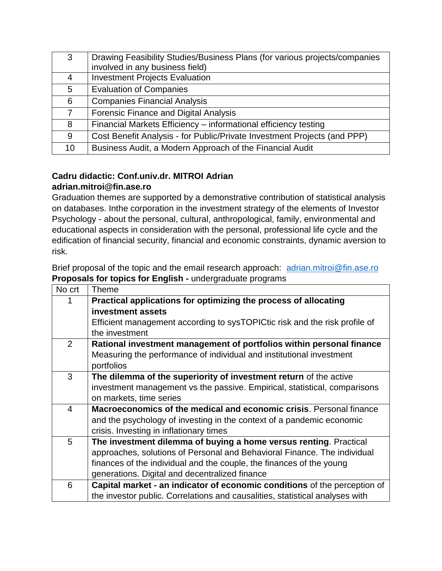| 3               | Drawing Feasibility Studies/Business Plans (for various projects/companies |
|-----------------|----------------------------------------------------------------------------|
|                 | involved in any business field)                                            |
| 4               | <b>Investment Projects Evaluation</b>                                      |
| $5^{\circ}$     | <b>Evaluation of Companies</b>                                             |
| 6               | <b>Companies Financial Analysis</b>                                        |
| $7^{\circ}$     | <b>Forensic Finance and Digital Analysis</b>                               |
| 8               | Financial Markets Efficiency - informational efficiency testing            |
| 9               | Cost Benefit Analysis - for Public/Private Investment Projects (and PPP)   |
| 10 <sup>°</sup> | Business Audit, a Modern Approach of the Financial Audit                   |

#### **Cadru didactic: Conf.univ.dr. MITROI Adrian adrian.mitroi@fin.ase.ro**

Graduation themes are supported by a demonstrative contribution of statistical analysis on databases. Inthe corporation in the investment strategy of the elements of Investor Psychology - about the personal, cultural, anthropological, family, environmental and educational aspects in consideration with the personal, professional life cycle and the edification of financial security, financial and economic constraints, dynamic aversion to risk.

Brief proposal of the topic and the email research approach: [adrian.mitroi@fin.ase.ro](mailto:adrian.mitroi@fin.ase.ro) **Proposals for topics for English -** undergraduate programs

| No crt         | Theme                                                                        |
|----------------|------------------------------------------------------------------------------|
|                | Practical applications for optimizing the process of allocating              |
|                | investment assets                                                            |
|                | Efficient management according to sysTOPICtic risk and the risk profile of   |
|                | the investment                                                               |
| $\overline{2}$ | Rational investment management of portfolios within personal finance         |
|                | Measuring the performance of individual and institutional investment         |
|                | portfolios                                                                   |
| 3              | The dilemma of the superiority of investment return of the active            |
|                | investment management vs the passive. Empirical, statistical, comparisons    |
|                | on markets, time series                                                      |
| $\overline{4}$ | Macroeconomics of the medical and economic crisis. Personal finance          |
|                | and the psychology of investing in the context of a pandemic economic        |
|                | crisis. Investing in inflationary times                                      |
| 5              | The investment dilemma of buying a home versus renting. Practical            |
|                | approaches, solutions of Personal and Behavioral Finance. The individual     |
|                | finances of the individual and the couple, the finances of the young         |
|                | generations. Digital and decentralized finance                               |
| 6              | Capital market - an indicator of economic conditions of the perception of    |
|                | the investor public. Correlations and causalities, statistical analyses with |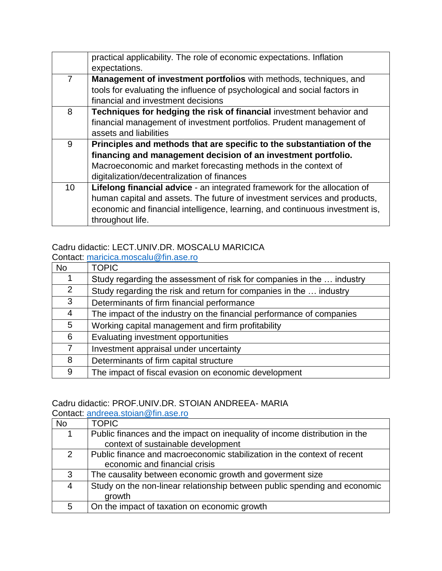|                | practical applicability. The role of economic expectations. Inflation        |
|----------------|------------------------------------------------------------------------------|
|                | expectations.                                                                |
| $\overline{7}$ | Management of investment portfolios with methods, techniques, and            |
|                | tools for evaluating the influence of psychological and social factors in    |
|                | financial and investment decisions                                           |
| 8              | Techniques for hedging the risk of financial investment behavior and         |
|                | financial management of investment portfolios. Prudent management of         |
|                | assets and liabilities                                                       |
| 9              | Principles and methods that are specific to the substantiation of the        |
|                | financing and management decision of an investment portfolio.                |
|                | Macroeconomic and market forecasting methods in the context of               |
|                | digitalization/decentralization of finances                                  |
| 10             | Lifelong financial advice - an integrated framework for the allocation of    |
|                | human capital and assets. The future of investment services and products,    |
|                | economic and financial intelligence, learning, and continuous investment is, |
|                | throughout life.                                                             |

### Cadru didactic: LECT.UNIV.DR. MOSCALU MARICICA

Contact: [maricica.moscalu@fin.ase.ro](mailto:maricica.moscalu@fin.ase.ro)

| <b>No</b>      | <b>TOPIC</b>                                                          |
|----------------|-----------------------------------------------------------------------|
|                | Study regarding the assessment of risk for companies in the  industry |
| $\overline{2}$ | Study regarding the risk and return for companies in the  industry    |
| 3              | Determinants of firm financial performance                            |
| $\overline{4}$ | The impact of the industry on the financial performance of companies  |
| 5              | Working capital management and firm profitability                     |
| 6              | Evaluating investment opportunities                                   |
| 7              | Investment appraisal under uncertainty                                |
| 8              | Determinants of firm capital structure                                |
| 9              | The impact of fiscal evasion on economic development                  |

### Cadru didactic: PROF.UNIV.DR. STOIAN ANDREEA- MARIA

Contact: [andreea.stoian@fin.ase.ro](mailto:andreea.stoian@fin.ase.ro) No **TOPIC** 1 Public finances and the impact on inequality of income distribution in the context of sustainable development 2 Public finance and macroeconomic stabilization in the context of recent economic and financial crisis 3 The causality between economic growth and goverment size 4 Study on the non-linear relationship between public spending and economic growth 5 On the impact of taxation on economic growth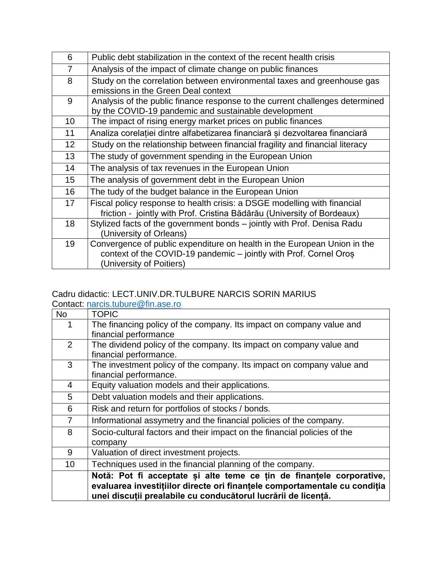| 6               | Public debt stabilization in the context of the recent health crisis         |
|-----------------|------------------------------------------------------------------------------|
| $\overline{7}$  | Analysis of the impact of climate change on public finances                  |
| 8               | Study on the correlation between environmental taxes and greenhouse gas      |
|                 | emissions in the Green Deal context                                          |
| 9               | Analysis of the public finance response to the current challenges determined |
|                 | by the COVID-19 pandemic and sustainable development                         |
| 10              | The impact of rising energy market prices on public finances                 |
| 11              | Analiza corelației dintre alfabetizarea financiară și dezvoltarea financiară |
| 12 <sub>2</sub> | Study on the relationship between financial fragility and financial literacy |
| 13              | The study of government spending in the European Union                       |
| 14              | The analysis of tax revenues in the European Union                           |
| 15              | The analysis of government debt in the European Union                        |
| 16              | The tudy of the budget balance in the European Union                         |
| 17              | Fiscal policy response to health crisis: a DSGE modelling with financial     |
|                 | friction - jointly with Prof. Cristina Bădărău (University of Bordeaux)      |
| 18              | Stylized facts of the government bonds – jointly with Prof. Denisa Radu      |
|                 | (University of Orleans)                                                      |
| 19              | Convergence of public expenditure on health in the European Union in the     |
|                 | context of the COVID-19 pandemic - jointly with Prof. Cornel Oros            |
|                 | (University of Poitiers)                                                     |

#### Cadru didactic: LECT.UNIV.DR.TULBURE NARCIS SORIN MARIUS Contact: [narcis.tubure@fin.ase.ro](mailto:narcis.tubure@fin.ase.ro)

| <b>TOPIC</b>                                                              |
|---------------------------------------------------------------------------|
| The financing policy of the company. Its impact on company value and      |
| financial performance                                                     |
| The dividend policy of the company. Its impact on company value and       |
| financial performance.                                                    |
| The investment policy of the company. Its impact on company value and     |
| financial performance.                                                    |
| Equity valuation models and their applications.                           |
| Debt valuation models and their applications.                             |
| Risk and return for portfolios of stocks / bonds.                         |
| Informational assymetry and the financial policies of the company.        |
| Socio-cultural factors and their impact on the financial policies of the  |
| company                                                                   |
| Valuation of direct investment projects.                                  |
| Techniques used in the financial planning of the company.                 |
| Notă: Pot fi acceptate și alte teme ce țin de finanțele corporative,      |
| evaluarea investițiilor directe ori finanțele comportamentale cu condiția |
| unei discuții prealabile cu conducătorul lucrării de licență.             |
|                                                                           |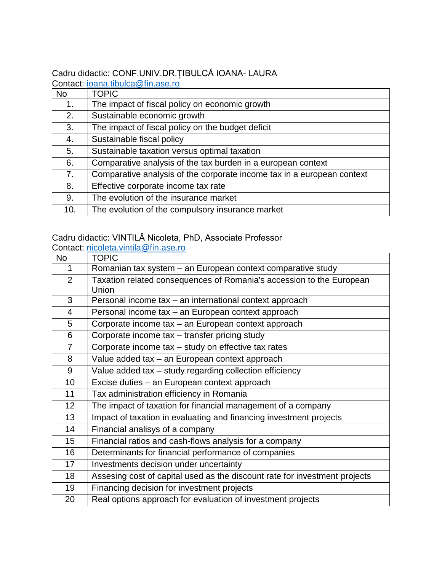# Cadru didactic: CONF.UNIV.DR.ȚIBULCĂ IOANA- LAURA

Contact: [ioana.tibulca@fin.ase.ro](mailto:ioana.tibulca@fin.ase.ro)

| <b>No</b> | <b>TOPIC</b>                                                           |
|-----------|------------------------------------------------------------------------|
| 1.        | The impact of fiscal policy on economic growth                         |
| 2.        | Sustainable economic growth                                            |
| 3.        | The impact of fiscal policy on the budget deficit                      |
| 4.        | Sustainable fiscal policy                                              |
| 5.        | Sustainable taxation versus optimal taxation                           |
| 6.        | Comparative analysis of the tax burden in a european context           |
| 7.        | Comparative analysis of the corporate income tax in a european context |
| 8.        | Effective corporate income tax rate                                    |
| 9.        | The evolution of the insurance market                                  |
| 10.       | The evolution of the compulsory insurance market                       |

### Cadru didactic: VINTILĂ Nicoleta, PhD, Associate Professor

Contact: [nicoleta.vintila@fin.ase.ro](mailto:nicoleta.vintila@fin.ase.ro)

| No              | <b>TOPIC</b>                                                               |
|-----------------|----------------------------------------------------------------------------|
| 1               | Romanian tax system - an European context comparative study                |
| 2               | Taxation related consequences of Romania's accession to the European       |
|                 | Union                                                                      |
| 3               | Personal income tax - an international context approach                    |
| $\overline{4}$  | Personal income tax – an European context approach                         |
| 5               | Corporate income tax - an European context approach                        |
| 6               | Corporate income tax - transfer pricing study                              |
| $\overline{7}$  | Corporate income tax - study on effective tax rates                        |
| 8               | Value added tax - an European context approach                             |
| 9               | Value added tax - study regarding collection efficiency                    |
| 10              | Excise duties - an European context approach                               |
| 11              | Tax administration efficiency in Romania                                   |
| 12 <sub>2</sub> | The impact of taxation for financial management of a company               |
| 13              | Impact of taxation in evaluating and financing investment projects         |
| 14              | Financial analisys of a company                                            |
| 15 <sub>2</sub> | Financial ratios and cash-flows analysis for a company                     |
| 16              | Determinants for financial performance of companies                        |
| 17              | Investments decision under uncertainty                                     |
| 18              | Assesing cost of capital used as the discount rate for investment projects |
| 19              | Financing decision for investment projects                                 |
| 20              | Real options approach for evaluation of investment projects                |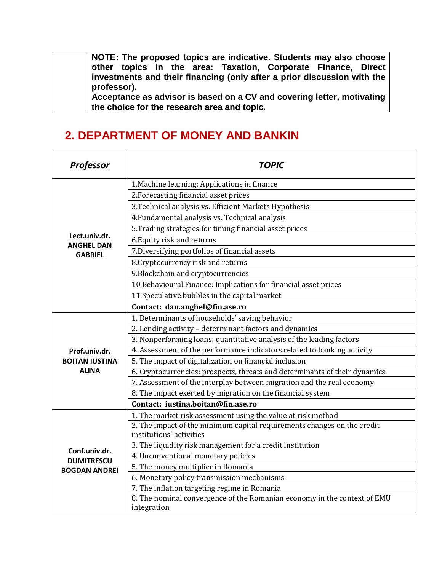**NOTE: The proposed topics are indicative. Students may also choose other topics in the area: Taxation, Corporate Finance, Direct investments and their financing (only after a prior discussion with the professor).**

**Acceptance as advisor is based on a CV and covering letter, motivating the choice for the research area and topic.**

## **2. DEPARTMENT OF MONEY AND BANKIN**

| <b>Professor</b>                    | <b>TOPIC</b>                                                                                        |
|-------------------------------------|-----------------------------------------------------------------------------------------------------|
|                                     | 1. Machine learning: Applications in finance                                                        |
|                                     | 2. Forecasting financial asset prices                                                               |
|                                     | 3. Technical analysis vs. Efficient Markets Hypothesis                                              |
|                                     | 4. Fundamental analysis vs. Technical analysis                                                      |
|                                     | 5. Trading strategies for timing financial asset prices                                             |
| Lect.univ.dr.                       | 6. Equity risk and returns                                                                          |
| <b>ANGHEL DAN</b><br><b>GABRIEL</b> | 7. Diversifying portfolios of financial assets                                                      |
|                                     | 8. Cryptocurrency risk and returns                                                                  |
|                                     | 9. Blockchain and cryptocurrencies                                                                  |
|                                     | 10. Behavioural Finance: Implications for financial asset prices                                    |
|                                     | 11. Speculative bubbles in the capital market                                                       |
|                                     | Contact: dan.anghel@fin.ase.ro                                                                      |
|                                     | 1. Determinants of households' saving behavior                                                      |
|                                     | 2. Lending activity - determinant factors and dynamics                                              |
|                                     | 3. Nonperforming loans: quantitative analysis of the leading factors                                |
| Prof.univ.dr.                       | 4. Assessment of the performance indicators related to banking activity                             |
| <b>BOITAN IUSTINA</b>               | 5. The impact of digitalization on financial inclusion                                              |
| <b>ALINA</b>                        | 6. Cryptocurrencies: prospects, threats and determinants of their dynamics                          |
|                                     | 7. Assessment of the interplay between migration and the real economy                               |
|                                     | 8. The impact exerted by migration on the financial system                                          |
|                                     | Contact: iustina.boitan@fin.ase.ro                                                                  |
|                                     | 1. The market risk assessment using the value at risk method                                        |
|                                     | 2. The impact of the minimum capital requirements changes on the credit<br>institutions' activities |
| Conf.univ.dr.                       | 3. The liquidity risk management for a credit institution                                           |
| <b>DUMITRESCU</b>                   | 4. Unconventional monetary policies                                                                 |
| <b>BOGDAN ANDREI</b>                | 5. The money multiplier in Romania                                                                  |
|                                     | 6. Monetary policy transmission mechanisms                                                          |
|                                     | 7. The inflation targeting regime in Romania                                                        |
|                                     | 8. The nominal convergence of the Romanian economy in the context of EMU<br>integration             |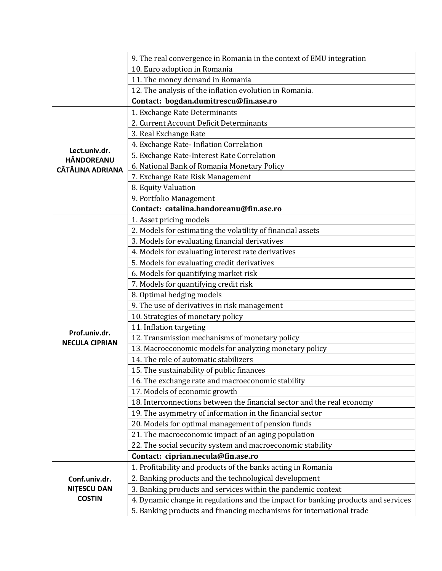|                                              | 9. The real convergence in Romania in the context of EMU integration              |
|----------------------------------------------|-----------------------------------------------------------------------------------|
|                                              | 10. Euro adoption in Romania                                                      |
|                                              | 11. The money demand in Romania                                                   |
|                                              | 12. The analysis of the inflation evolution in Romania.                           |
|                                              | Contact: bogdan.dumitrescu@fin.ase.ro                                             |
|                                              | 1. Exchange Rate Determinants                                                     |
|                                              | 2. Current Account Deficit Determinants                                           |
|                                              | 3. Real Exchange Rate                                                             |
|                                              | 4. Exchange Rate- Inflation Correlation                                           |
| Lect.univ.dr.                                | 5. Exchange Rate-Interest Rate Correlation                                        |
| <b>HÂNDOREANU</b><br><b>CĂTĂLINA ADRIANA</b> | 6. National Bank of Romania Monetary Policy                                       |
|                                              | 7. Exchange Rate Risk Management                                                  |
|                                              | 8. Equity Valuation                                                               |
|                                              | 9. Portfolio Management                                                           |
|                                              | Contact: catalina.handoreanu@fin.ase.ro                                           |
|                                              | 1. Asset pricing models                                                           |
|                                              | 2. Models for estimating the volatility of financial assets                       |
|                                              | 3. Models for evaluating financial derivatives                                    |
|                                              | 4. Models for evaluating interest rate derivatives                                |
|                                              | 5. Models for evaluating credit derivatives                                       |
|                                              | 6. Models for quantifying market risk                                             |
|                                              | 7. Models for quantifying credit risk                                             |
|                                              | 8. Optimal hedging models                                                         |
|                                              | 9. The use of derivatives in risk management                                      |
|                                              | 10. Strategies of monetary policy                                                 |
|                                              | 11. Inflation targeting                                                           |
| Prof.univ.dr.                                | 12. Transmission mechanisms of monetary policy                                    |
| <b>NECULA CIPRIAN</b>                        | 13. Macroeconomic models for analyzing monetary policy                            |
|                                              | 14. The role of automatic stabilizers                                             |
|                                              | 15. The sustainability of public finances                                         |
|                                              | 16. The exchange rate and macroeconomic stability                                 |
|                                              | 17. Models of economic growth                                                     |
|                                              | 18. Interconnections between the financial sector and the real economy            |
|                                              | 19. The asymmetry of information in the financial sector                          |
|                                              | 20. Models for optimal management of pension funds                                |
|                                              | 21. The macroeconomic impact of an aging population                               |
|                                              | 22. The social security system and macroeconomic stability                        |
|                                              | Contact: ciprian.necula@fin.ase.ro                                                |
|                                              | 1. Profitability and products of the banks acting in Romania                      |
| Conf.univ.dr.                                | 2. Banking products and the technological development                             |
| <b>NITESCU DAN</b>                           | 3. Banking products and services within the pandemic context                      |
| <b>COSTIN</b>                                | 4. Dynamic change in regulations and the impact for banking products and services |
|                                              | 5. Banking products and financing mechanisms for international trade              |